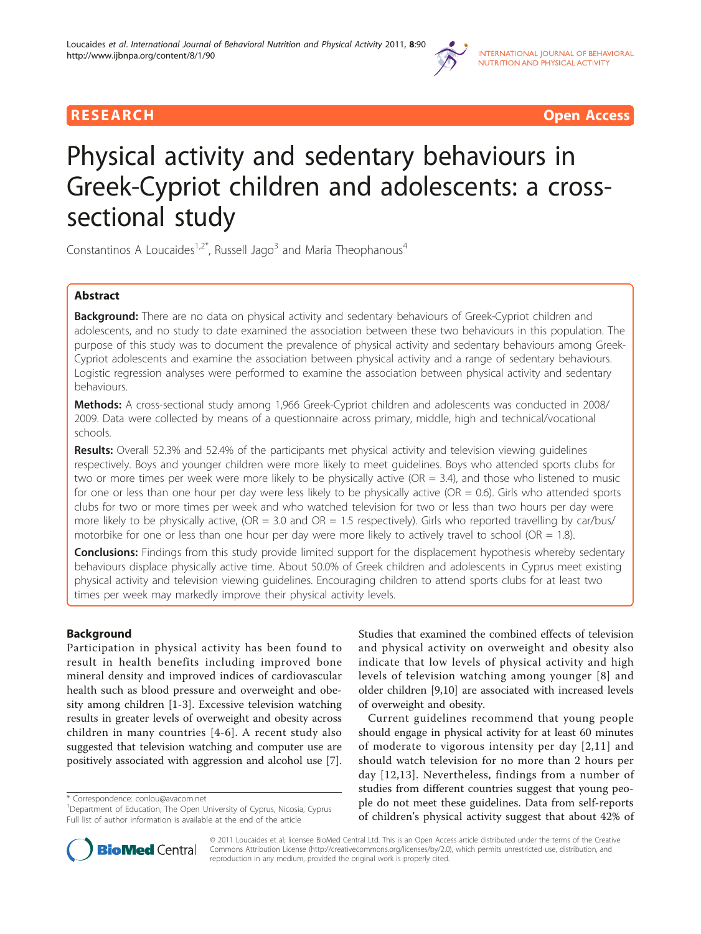

RESEARCH **CONTROLLER CONTROLLER CONTROLLER CONTROLLER CONTROLLER CONTROLLER CONTROLLER CONTROLLER CONTROLLER CONTROLLER CONTROLLER CONTROLLER CONTROLLER CONTROLLER CONTROLLER CONTROLLER CONTROLLER CONTROLLER CONTROLLER CON** 

# Physical activity and sedentary behaviours in Greek-Cypriot children and adolescents: a crosssectional study

Constantinos A Loucaides<sup>1,2\*</sup>, Russell Jago<sup>3</sup> and Maria Theophanous<sup>4</sup>

# Abstract

**Background:** There are no data on physical activity and sedentary behaviours of Greek-Cypriot children and adolescents, and no study to date examined the association between these two behaviours in this population. The purpose of this study was to document the prevalence of physical activity and sedentary behaviours among Greek-Cypriot adolescents and examine the association between physical activity and a range of sedentary behaviours. Logistic regression analyses were performed to examine the association between physical activity and sedentary behaviours.

Methods: A cross-sectional study among 1,966 Greek-Cypriot children and adolescents was conducted in 2008/ 2009. Data were collected by means of a questionnaire across primary, middle, high and technical/vocational schools.

Results: Overall 52.3% and 52.4% of the participants met physical activity and television viewing quidelines respectively. Boys and younger children were more likely to meet guidelines. Boys who attended sports clubs for two or more times per week were more likely to be physically active (OR = 3.4), and those who listened to music for one or less than one hour per day were less likely to be physically active (OR = 0.6). Girls who attended sports clubs for two or more times per week and who watched television for two or less than two hours per day were more likely to be physically active, (OR = 3.0 and OR = 1.5 respectively). Girls who reported travelling by car/bus/ motorbike for one or less than one hour per day were more likely to actively travel to school (OR = 1.8).

**Conclusions:** Findings from this study provide limited support for the displacement hypothesis whereby sedentary behaviours displace physically active time. About 50.0% of Greek children and adolescents in Cyprus meet existing physical activity and television viewing guidelines. Encouraging children to attend sports clubs for at least two times per week may markedly improve their physical activity levels.

# Background

Participation in physical activity has been found to result in health benefits including improved bone mineral density and improved indices of cardiovascular health such as blood pressure and overweight and obesity among children [\[1](#page-9-0)-[3\]](#page-9-0). Excessive television watching results in greater levels of overweight and obesity across children in many countries [[4](#page-9-0)-[6](#page-9-0)]. A recent study also suggested that television watching and computer use are positively associated with aggression and alcohol use [\[7](#page-9-0)].

\* Correspondence: [conlou@avacom.net](mailto:conlou@avacom.net)

Studies that examined the combined effects of television and physical activity on overweight and obesity also indicate that low levels of physical activity and high levels of television watching among younger [[8\]](#page-9-0) and older children [\[9,10](#page-9-0)] are associated with increased levels of overweight and obesity.

Current guidelines recommend that young people should engage in physical activity for at least 60 minutes of moderate to vigorous intensity per day [\[2,11\]](#page-9-0) and should watch television for no more than 2 hours per day [[12](#page-9-0),[13](#page-9-0)]. Nevertheless, findings from a number of studies from different countries suggest that young people do not meet these guidelines. Data from self-reports of children's physical activity suggest that about 42% of



© 2011 Loucaides et al; licensee BioMed Central Ltd. This is an Open Access article distributed under the terms of the Creative Commons Attribution License [\(http://creativecommons.org/licenses/by/2.0](http://creativecommons.org/licenses/by/2.0)), which permits unrestricted use, distribution, and reproduction in any medium, provided the original work is properly cited.

<sup>&</sup>lt;sup>1</sup>Department of Education, The Open University of Cyprus, Nicosia, Cyprus Full list of author information is available at the end of the article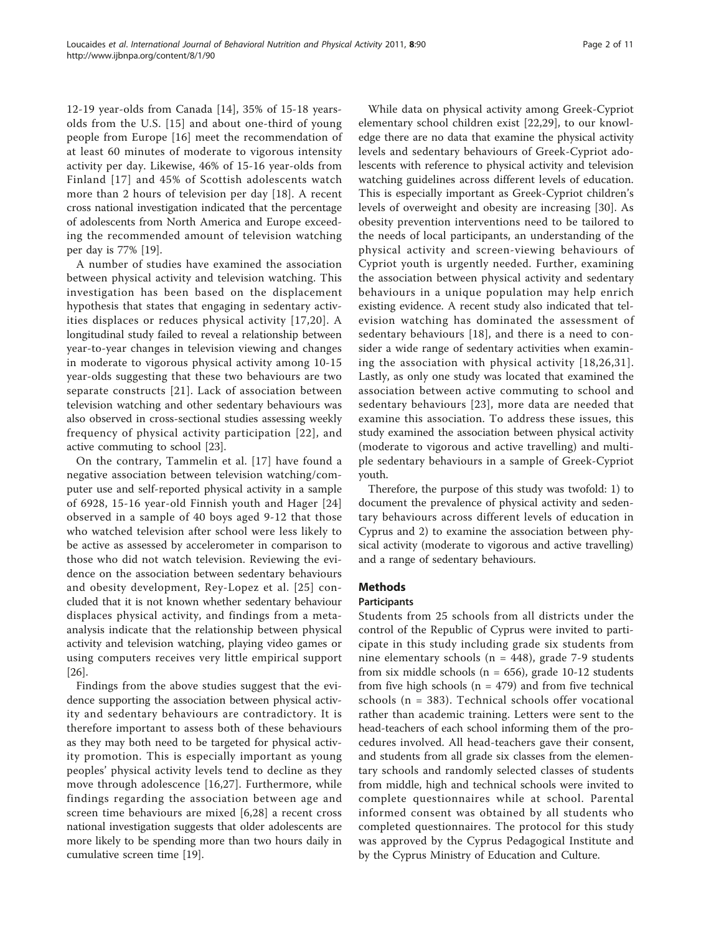12-19 year-olds from Canada [\[14](#page-9-0)], 35% of 15-18 yearsolds from the U.S. [[15](#page-9-0)] and about one-third of young people from Europe [[16](#page-9-0)] meet the recommendation of at least 60 minutes of moderate to vigorous intensity activity per day. Likewise, 46% of 15-16 year-olds from Finland [[17](#page-9-0)] and 45% of Scottish adolescents watch more than 2 hours of television per day [\[18\]](#page-9-0). A recent cross national investigation indicated that the percentage of adolescents from North America and Europe exceeding the recommended amount of television watching per day is 77% [[19\]](#page-9-0).

A number of studies have examined the association between physical activity and television watching. This investigation has been based on the displacement hypothesis that states that engaging in sedentary activities displaces or reduces physical activity [\[17,20\]](#page-9-0). A longitudinal study failed to reveal a relationship between year-to-year changes in television viewing and changes in moderate to vigorous physical activity among 10-15 year-olds suggesting that these two behaviours are two separate constructs [[21](#page-9-0)]. Lack of association between television watching and other sedentary behaviours was also observed in cross-sectional studies assessing weekly frequency of physical activity participation [[22](#page-9-0)], and active commuting to school [\[23](#page-9-0)].

On the contrary, Tammelin et al. [[17](#page-9-0)] have found a negative association between television watching/computer use and self-reported physical activity in a sample of 6928, 15-16 year-old Finnish youth and Hager [[24](#page-9-0)] observed in a sample of 40 boys aged 9-12 that those who watched television after school were less likely to be active as assessed by accelerometer in comparison to those who did not watch television. Reviewing the evidence on the association between sedentary behaviours and obesity development, Rey-Lopez et al. [[25\]](#page-9-0) concluded that it is not known whether sedentary behaviour displaces physical activity, and findings from a metaanalysis indicate that the relationship between physical activity and television watching, playing video games or using computers receives very little empirical support [[26\]](#page-9-0).

Findings from the above studies suggest that the evidence supporting the association between physical activity and sedentary behaviours are contradictory. It is therefore important to assess both of these behaviours as they may both need to be targeted for physical activity promotion. This is especially important as young peoples' physical activity levels tend to decline as they move through adolescence [[16](#page-9-0),[27\]](#page-9-0). Furthermore, while findings regarding the association between age and screen time behaviours are mixed [\[6](#page-9-0),[28\]](#page-9-0) a recent cross national investigation suggests that older adolescents are more likely to be spending more than two hours daily in cumulative screen time [\[19](#page-9-0)].

While data on physical activity among Greek-Cypriot elementary school children exist [\[22,29\]](#page-9-0), to our knowledge there are no data that examine the physical activity levels and sedentary behaviours of Greek-Cypriot adolescents with reference to physical activity and television watching guidelines across different levels of education. This is especially important as Greek-Cypriot children's levels of overweight and obesity are increasing [[30\]](#page-9-0). As obesity prevention interventions need to be tailored to the needs of local participants, an understanding of the physical activity and screen-viewing behaviours of Cypriot youth is urgently needed. Further, examining the association between physical activity and sedentary behaviours in a unique population may help enrich existing evidence. A recent study also indicated that television watching has dominated the assessment of sedentary behaviours [[18\]](#page-9-0), and there is a need to consider a wide range of sedentary activities when examining the association with physical activity [[18](#page-9-0),[26,31\]](#page-9-0). Lastly, as only one study was located that examined the association between active commuting to school and sedentary behaviours [\[23\]](#page-9-0), more data are needed that examine this association. To address these issues, this study examined the association between physical activity (moderate to vigorous and active travelling) and multiple sedentary behaviours in a sample of Greek-Cypriot youth.

Therefore, the purpose of this study was twofold: 1) to document the prevalence of physical activity and sedentary behaviours across different levels of education in Cyprus and 2) to examine the association between physical activity (moderate to vigorous and active travelling) and a range of sedentary behaviours.

# Methods

# Participants

Students from 25 schools from all districts under the control of the Republic of Cyprus were invited to participate in this study including grade six students from nine elementary schools ( $n = 448$ ), grade 7-9 students from six middle schools ( $n = 656$ ), grade 10-12 students from five high schools ( $n = 479$ ) and from five technical schools (n = 383). Technical schools offer vocational rather than academic training. Letters were sent to the head-teachers of each school informing them of the procedures involved. All head-teachers gave their consent, and students from all grade six classes from the elementary schools and randomly selected classes of students from middle, high and technical schools were invited to complete questionnaires while at school. Parental informed consent was obtained by all students who completed questionnaires. The protocol for this study was approved by the Cyprus Pedagogical Institute and by the Cyprus Ministry of Education and Culture.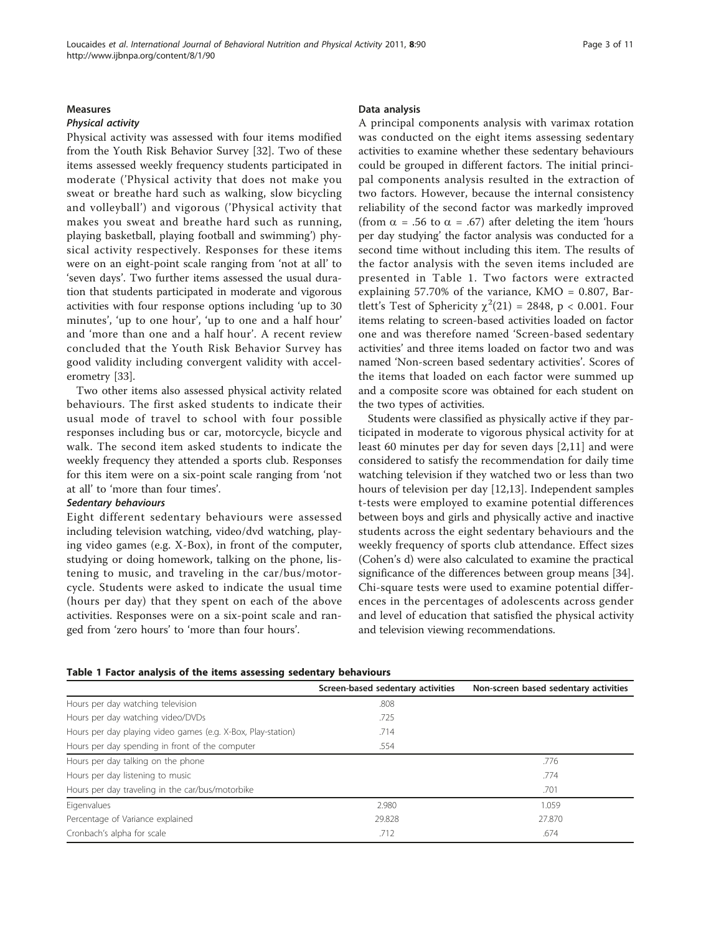#### Measures

#### Physical activity

Physical activity was assessed with four items modified from the Youth Risk Behavior Survey [[32\]](#page-9-0). Two of these items assessed weekly frequency students participated in moderate ('Physical activity that does not make you sweat or breathe hard such as walking, slow bicycling and volleyball') and vigorous ('Physical activity that makes you sweat and breathe hard such as running, playing basketball, playing football and swimming') physical activity respectively. Responses for these items were on an eight-point scale ranging from 'not at all' to 'seven days'. Two further items assessed the usual duration that students participated in moderate and vigorous activities with four response options including 'up to 30 minutes', 'up to one hour', 'up to one and a half hour' and 'more than one and a half hour'. A recent review concluded that the Youth Risk Behavior Survey has good validity including convergent validity with accelerometry [[33\]](#page-9-0).

Two other items also assessed physical activity related behaviours. The first asked students to indicate their usual mode of travel to school with four possible responses including bus or car, motorcycle, bicycle and walk. The second item asked students to indicate the weekly frequency they attended a sports club. Responses for this item were on a six-point scale ranging from 'not at all' to 'more than four times'.

# Sedentary behaviours

Eight different sedentary behaviours were assessed including television watching, video/dvd watching, playing video games (e.g. X-Box), in front of the computer, studying or doing homework, talking on the phone, listening to music, and traveling in the car/bus/motorcycle. Students were asked to indicate the usual time (hours per day) that they spent on each of the above activities. Responses were on a six-point scale and ranged from 'zero hours' to 'more than four hours'.

#### Data analysis

A principal components analysis with varimax rotation was conducted on the eight items assessing sedentary activities to examine whether these sedentary behaviours could be grouped in different factors. The initial principal components analysis resulted in the extraction of two factors. However, because the internal consistency reliability of the second factor was markedly improved (from  $\alpha$  = .56 to  $\alpha$  = .67) after deleting the item 'hours per day studying' the factor analysis was conducted for a second time without including this item. The results of the factor analysis with the seven items included are presented in Table 1. Two factors were extracted explaining 57.70% of the variance, KMO = 0.807, Bartlett's Test of Sphericity  $\chi^2(21) = 2848$ , p < 0.001. Four items relating to screen-based activities loaded on factor one and was therefore named 'Screen-based sedentary activities' and three items loaded on factor two and was named 'Non-screen based sedentary activities'. Scores of the items that loaded on each factor were summed up and a composite score was obtained for each student on the two types of activities.

Students were classified as physically active if they participated in moderate to vigorous physical activity for at least 60 minutes per day for seven days [[2,11](#page-9-0)] and were considered to satisfy the recommendation for daily time watching television if they watched two or less than two hours of television per day [[12](#page-9-0),[13\]](#page-9-0). Independent samples t-tests were employed to examine potential differences between boys and girls and physically active and inactive students across the eight sedentary behaviours and the weekly frequency of sports club attendance. Effect sizes (Cohen's d) were also calculated to examine the practical significance of the differences between group means [\[34](#page-9-0)]. Chi-square tests were used to examine potential differences in the percentages of adolescents across gender and level of education that satisfied the physical activity and television viewing recommendations.

|                                                              | Screen-based sedentary activities | Non-screen based sedentary activities |
|--------------------------------------------------------------|-----------------------------------|---------------------------------------|
| Hours per day watching television                            | .808                              |                                       |
| Hours per day watching video/DVDs                            | .725                              |                                       |
| Hours per day playing video games (e.g. X-Box, Play-station) | .714                              |                                       |
| Hours per day spending in front of the computer              | .554                              |                                       |
| Hours per day talking on the phone                           |                                   | .776                                  |
| Hours per day listening to music                             |                                   | .774                                  |
| Hours per day traveling in the car/bus/motorbike             |                                   | .701                                  |
| Eigenvalues                                                  | 2.980                             | 1.059                                 |
| Percentage of Variance explained                             | 29.828                            | 27.870                                |
| Cronbach's alpha for scale                                   | .712                              | .674                                  |

#### Table 1 Factor analysis of the items assessing sedentary behaviours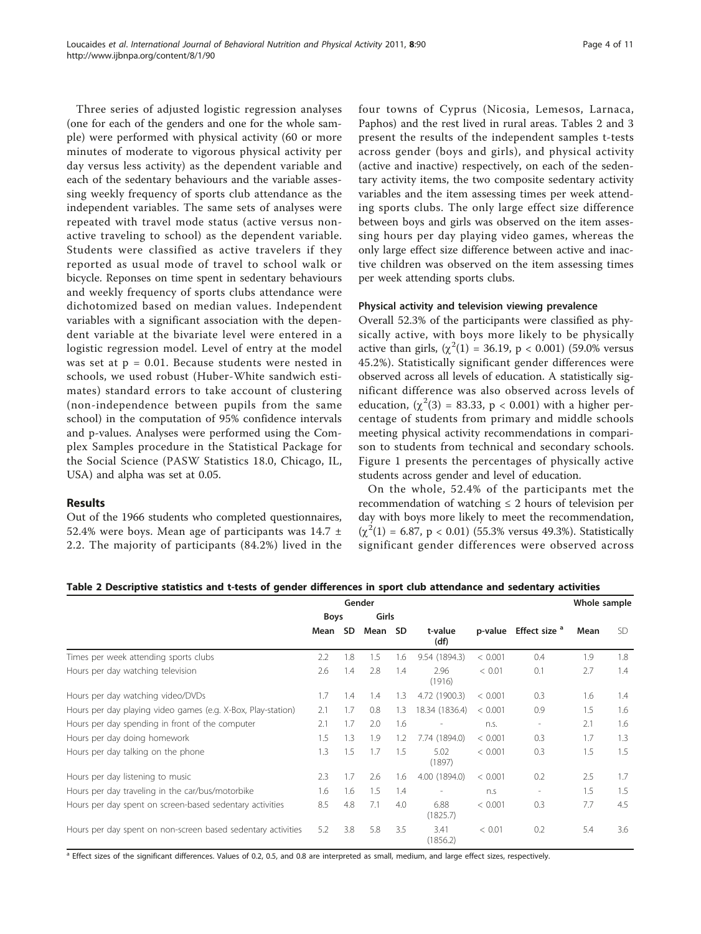Three series of adjusted logistic regression analyses (one for each of the genders and one for the whole sample) were performed with physical activity (60 or more minutes of moderate to vigorous physical activity per day versus less activity) as the dependent variable and each of the sedentary behaviours and the variable assessing weekly frequency of sports club attendance as the independent variables. The same sets of analyses were repeated with travel mode status (active versus nonactive traveling to school) as the dependent variable. Students were classified as active travelers if they reported as usual mode of travel to school walk or bicycle. Reponses on time spent in sedentary behaviours and weekly frequency of sports clubs attendance were dichotomized based on median values. Independent variables with a significant association with the dependent variable at the bivariate level were entered in a logistic regression model. Level of entry at the model was set at  $p = 0.01$ . Because students were nested in schools, we used robust (Huber-White sandwich estimates) standard errors to take account of clustering (non-independence between pupils from the same school) in the computation of 95% confidence intervals and p-values. Analyses were performed using the Complex Samples procedure in the Statistical Package for the Social Science (PASW Statistics 18.0, Chicago, IL, USA) and alpha was set at 0.05.

# Results

Out of the 1966 students who completed questionnaires, 52.4% were boys. Mean age of participants was  $14.7 \pm 10^{-10}$ 2.2. The majority of participants (84.2%) lived in the four towns of Cyprus (Nicosia, Lemesos, Larnaca, Paphos) and the rest lived in rural areas. Tables 2 and [3](#page-4-0) present the results of the independent samples t-tests across gender (boys and girls), and physical activity (active and inactive) respectively, on each of the sedentary activity items, the two composite sedentary activity variables and the item assessing times per week attending sports clubs. The only large effect size difference between boys and girls was observed on the item assessing hours per day playing video games, whereas the only large effect size difference between active and inactive children was observed on the item assessing times per week attending sports clubs.

#### Physical activity and television viewing prevalence

Overall 52.3% of the participants were classified as physically active, with boys more likely to be physically active than girls,  $(\chi^2(1) = 36.19, p < 0.001)$  (59.0% versus 45.2%). Statistically significant gender differences were observed across all levels of education. A statistically significant difference was also observed across levels of education,  $(\chi^2(3) = 83.33, p < 0.001)$  with a higher percentage of students from primary and middle schools meeting physical activity recommendations in comparison to students from technical and secondary schools. Figure [1](#page-4-0) presents the percentages of physically active students across gender and level of education.

On the whole, 52.4% of the participants met the recommendation of watching  $\leq 2$  hours of television per day with boys more likely to meet the recommendation,  $(\chi^2(1) = 6.87, p < 0.01)$  (55.3% versus 49.3%). Statistically significant gender differences were observed across

| Table 2 Descriptive statistics and t-tests of gender differences in sport club attendance and sedentary activities |  |  |  |
|--------------------------------------------------------------------------------------------------------------------|--|--|--|
|--------------------------------------------------------------------------------------------------------------------|--|--|--|

|                                                              |             |     | Gender |           |                          |         |                                  | Whole sample |     |
|--------------------------------------------------------------|-------------|-----|--------|-----------|--------------------------|---------|----------------------------------|--------------|-----|
|                                                              | <b>Boys</b> |     | Girls  |           |                          |         |                                  |              |     |
|                                                              | Mean        | SD. | Mean   | <b>SD</b> | t-value<br>(df)          |         | p-value Effect size <sup>a</sup> | Mean         | SD. |
| Times per week attending sports clubs                        | 2.2         | 1.8 | 1.5    | 1.6       | 9.54 (1894.3)            | < 0.001 | 0.4                              | 1.9          | 1.8 |
| Hours per day watching television                            | 2.6         | 1.4 | 2.8    | 1.4       | 2.96<br>(1916)           | < 0.01  | 0.1                              | 2.7          | 1.4 |
| Hours per day watching video/DVDs                            | 1.7         | 1.4 | 1.4    | 1.3       | 4.72 (1900.3)            | < 0.001 | 0.3                              | 1.6          | 1.4 |
| Hours per day playing video games (e.g. X-Box, Play-station) | 2.1         | 1.7 | 0.8    | 1.3       | 18.34 (1836.4)           | < 0.001 | 0.9                              | 1.5          | 1.6 |
| Hours per day spending in front of the computer              | 2.1         | 1.7 | 2.0    | 1.6       | $\overline{\phantom{a}}$ | n.s.    | $\overline{\phantom{a}}$         | 2.1          | 1.6 |
| Hours per day doing homework                                 | 1.5         | 1.3 | 1.9    | 1.2       | 7.74 (1894.0)            | < 0.001 | 0.3                              | 1.7          | 1.3 |
| Hours per day talking on the phone                           | 1.3         | 1.5 | 1.7    | 1.5       | 5.02<br>(1897)           | < 0.001 | 0.3                              | 1.5          | 1.5 |
| Hours per day listening to music                             | 2.3         | 1.7 | 2.6    | 1.6       | 4.00 (1894.0)            | < 0.001 | 0.2                              | 2.5          | 1.7 |
| Hours per day traveling in the car/bus/motorbike             | 1.6         | 1.6 | 1.5    | 1.4       | $\overline{\phantom{a}}$ | n.S     | $\overline{\phantom{a}}$         | 1.5          | 1.5 |
| Hours per day spent on screen-based sedentary activities     | 8.5         | 4.8 | 7.1    | 4.0       | 6.88<br>(1825.7)         | < 0.001 | 0.3                              | 7.7          | 4.5 |
| Hours per day spent on non-screen based sedentary activities | 5.2         | 3.8 | 5.8    | 3.5       | 3.41<br>(1856.2)         | < 0.01  | 0.2                              | 5.4          | 3.6 |

<sup>a</sup> Effect sizes of the significant differences. Values of 0.2, 0.5, and 0.8 are interpreted as small, medium, and large effect sizes, respectively.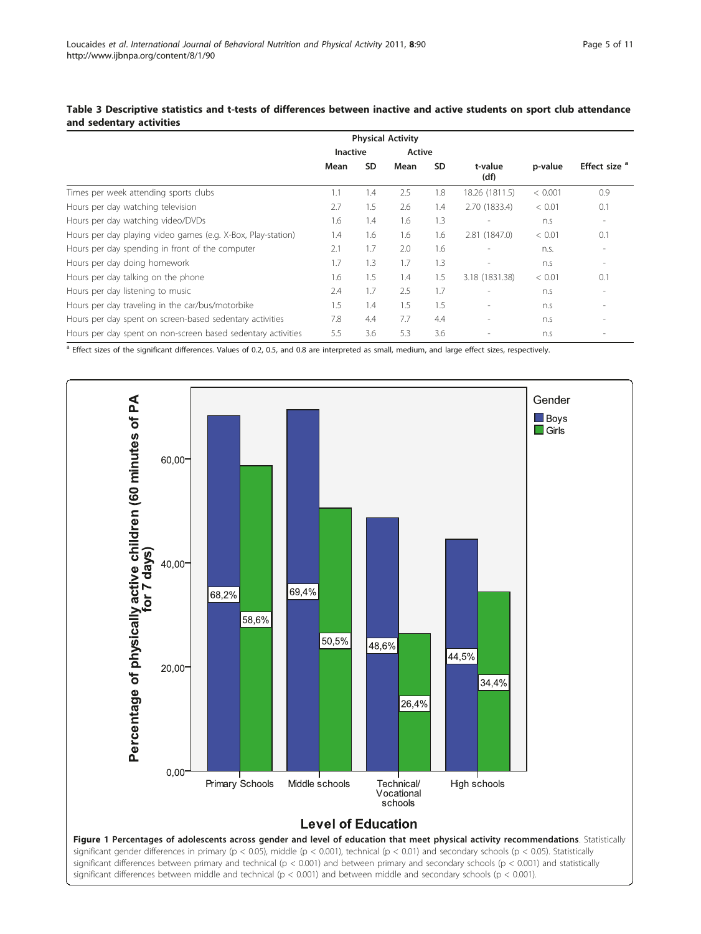# <span id="page-4-0"></span>Table 3 Descriptive statistics and t-tests of differences between inactive and active students on sport club attendance and sedentary activities

|                                                              |                 |           | <b>Physical Activity</b> |           |                          |         |                          |
|--------------------------------------------------------------|-----------------|-----------|--------------------------|-----------|--------------------------|---------|--------------------------|
|                                                              | <b>Inactive</b> |           | Active                   |           |                          |         |                          |
|                                                              | Mean            | <b>SD</b> | Mean                     | <b>SD</b> | t-value<br>(df)          | p-value | Effect size <sup>a</sup> |
| Times per week attending sports clubs                        | 1.1             | 1.4       | 2.5                      | 1.8       | 18.26 (1811.5)           | < 0.001 | 0.9                      |
| Hours per day watching television                            | 2.7             | 1.5       | 2.6                      | 1.4       | 2.70 (1833.4)            | < 0.01  | 0.1                      |
| Hours per day watching video/DVDs                            | 1.6             | 1.4       | 1.6                      | 1.3       |                          | n.s     |                          |
| Hours per day playing video games (e.g. X-Box, Play-station) | 1.4             | 1.6       | 1.6                      | 1.6       | 2.81 (1847.0)            | < 0.01  | 0.1                      |
| Hours per day spending in front of the computer              | 2.1             | 1.7       | 2.0                      | 1.6       |                          | n.s.    |                          |
| Hours per day doing homework                                 | 1.7             | 1.3       | 1.7                      | 1.3       | $\overline{\phantom{a}}$ | n.s     | $\overline{\phantom{a}}$ |
| Hours per day talking on the phone                           | 1.6             | 1.5       | 1.4                      | 1.5       | 3.18 (1831.38)           | < 0.01  | 0.1                      |
| Hours per day listening to music                             | 2.4             | 1.7       | 2.5                      | 1.7       | $\overline{\phantom{a}}$ | n.s     |                          |
| Hours per day traveling in the car/bus/motorbike             | 1.5             | 1.4       | 1.5                      | 1.5       | $\overline{\phantom{a}}$ | n.s     |                          |
| Hours per day spent on screen-based sedentary activities     | 7.8             | 4.4       | 7.7                      | 4.4       | $\overline{\phantom{a}}$ | n.s     |                          |
| Hours per day spent on non-screen based sedentary activities | 5.5             | 3.6       | 5.3                      | 3.6       |                          | n.s     |                          |

<sup>a</sup> Effect sizes of the significant differences. Values of 0.2, 0.5, and 0.8 are interpreted as small, medium, and large effect sizes, respectively.

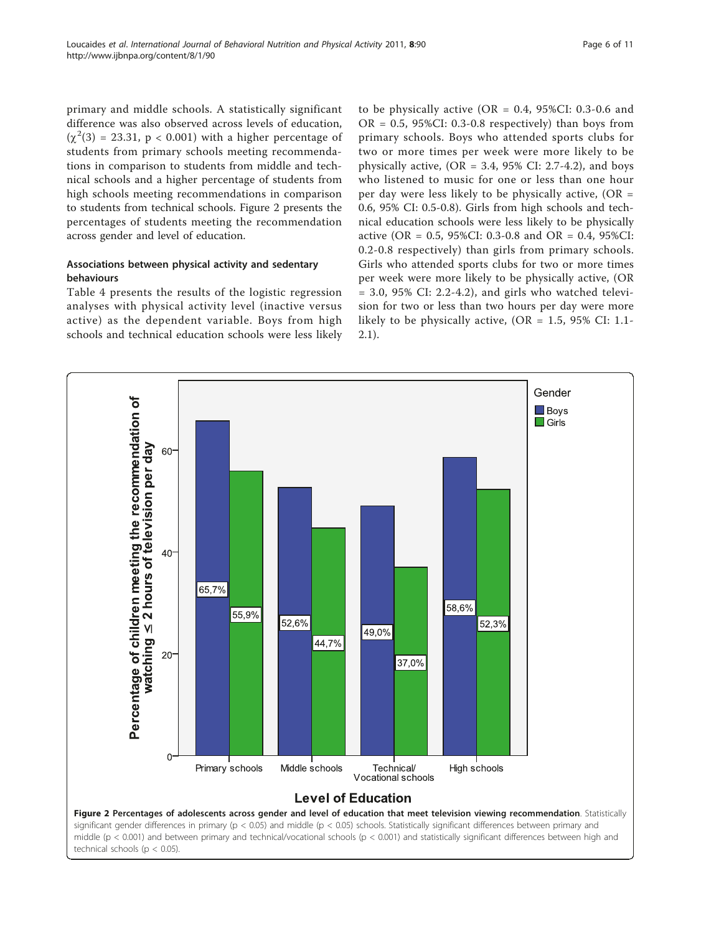primary and middle schools. A statistically significant difference was also observed across levels of education,  $(\chi^2(3) = 23.31, p < 0.001)$  with a higher percentage of students from primary schools meeting recommendations in comparison to students from middle and technical schools and a higher percentage of students from high schools meeting recommendations in comparison to students from technical schools. Figure 2 presents the percentages of students meeting the recommendation across gender and level of education.

# Associations between physical activity and sedentary behaviours

Table [4](#page-6-0) presents the results of the logistic regression analyses with physical activity level (inactive versus active) as the dependent variable. Boys from high schools and technical education schools were less likely

to be physically active ( $OR = 0.4$ , 95%CI: 0.3-0.6 and  $OR = 0.5$ , 95%CI: 0.3-0.8 respectively) than boys from primary schools. Boys who attended sports clubs for two or more times per week were more likely to be physically active,  $(OR = 3.4, 95\% \text{ CI: } 2.7-4.2)$ , and boys who listened to music for one or less than one hour per day were less likely to be physically active,  $(OR =$ 0.6, 95% CI: 0.5-0.8). Girls from high schools and technical education schools were less likely to be physically active (OR = 0.5, 95%CI: 0.3-0.8 and OR = 0.4, 95%CI: 0.2-0.8 respectively) than girls from primary schools. Girls who attended sports clubs for two or more times per week were more likely to be physically active, (OR  $= 3.0, 95\%$  CI: 2.2-4.2), and girls who watched television for two or less than two hours per day were more likely to be physically active,  $(OR = 1.5, 95\% \text{ CI: } 1.1$ -2.1).

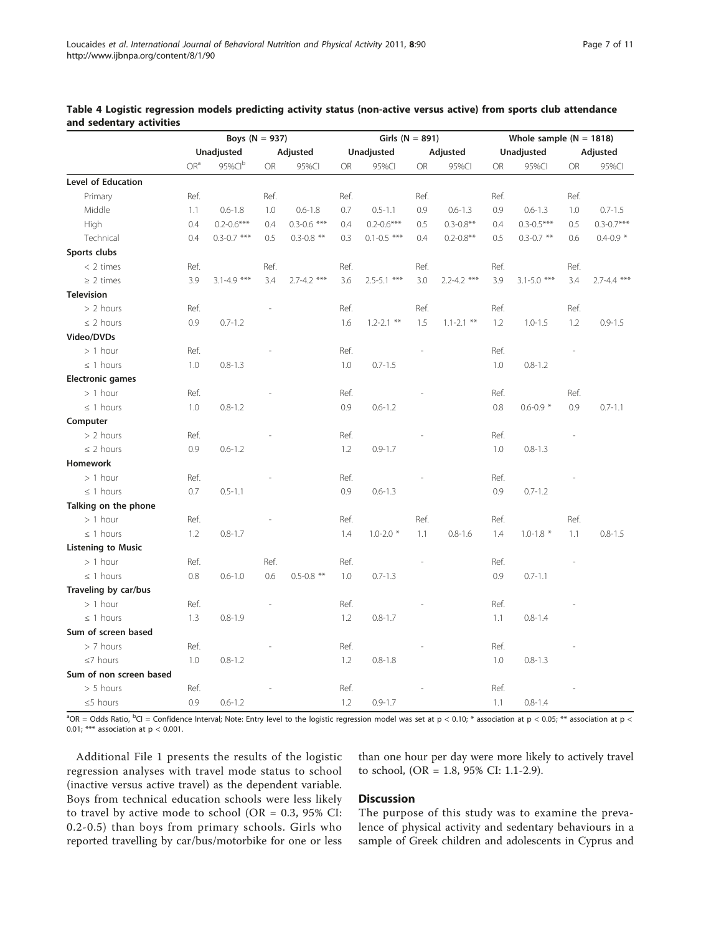|                           | Boys ( $N = 937$ ) |                 |          |                 | Girls ( $N = 891$ ) |                 |           |                 |         | Whole sample $(N = 1818)$ |      |                 |  |
|---------------------------|--------------------|-----------------|----------|-----------------|---------------------|-----------------|-----------|-----------------|---------|---------------------------|------|-----------------|--|
|                           | Unadjusted         |                 | Adjusted |                 |                     | Unadjusted      |           | Adjusted        |         | Unadjusted                |      | Adjusted        |  |
|                           | OR <sup>a</sup>    | 95%Clb          | OR       | 95%Cl           | <b>OR</b>           | 95%Cl           | <b>OR</b> | 95%CI           | OR      | 95%CI                     | OR   | 95%Cl           |  |
| Level of Education        |                    |                 |          |                 |                     |                 |           |                 |         |                           |      |                 |  |
| Primary                   | Ref.               |                 | Ref.     |                 | Ref.                |                 | Ref.      |                 | Ref.    |                           | Ref. |                 |  |
| Middle                    | 1.1                | $0.6 - 1.8$     | 1.0      | $0.6 - 1.8$     | 0.7                 | $0.5 - 1.1$     | 0.9       | $0.6 - 1.3$     | 0.9     | $0.6 - 1.3$               | 1.0  | $0.7 - 1.5$     |  |
| High                      | 0.4                | $0.2 - 0.6***$  | 0.4      | $0.3 - 0.6$ *** | 0.4                 | $0.2 - 0.6***$  | 0.5       | $0.3 - 0.8**$   | 0.4     | $0.3 - 0.5***$            | 0.5  | $0.3 - 0.7***$  |  |
| Technical                 | 0.4                | $0.3 - 0.7$ *** | 0.5      | $0.3 - 0.8$ **  | 0.3                 | $0.1 - 0.5$ *** | 0.4       | $0.2 - 0.8**$   | 0.5     | $0.3 - 0.7$ **            | 0.6  | $0.4 - 0.9 *$   |  |
| Sports clubs              |                    |                 |          |                 |                     |                 |           |                 |         |                           |      |                 |  |
| $<$ 2 times               | Ref.               |                 | Ref.     |                 | Ref.                |                 | Ref.      |                 | Ref.    |                           | Ref. |                 |  |
| $\geq$ 2 times            | 3.9                | $3.1 - 4.9$ *** | 3.4      | $2.7 - 4.2$ *** | 3.6                 | $2.5 - 5.1$ *** | 3.0       | $2.2 - 4.2$ *** | 3.9     | $3.1 - 5.0$ ***           | 3.4  | $2.7 - 4.4$ *** |  |
| <b>Television</b>         |                    |                 |          |                 |                     |                 |           |                 |         |                           |      |                 |  |
| $> 2$ hours               | Ref.               |                 |          |                 | Ref.                |                 | Ref.      |                 | Ref.    |                           | Ref. |                 |  |
| $\leq$ 2 hours            | 0.9                | $0.7 - 1.2$     |          |                 | 1.6                 | $1.2 - 2.1$ **  | 1.5       | $1.1 - 2.1$ **  | 1.2     | $1.0 - 1.5$               | 1.2  | $0.9 - 1.5$     |  |
| Video/DVDs                |                    |                 |          |                 |                     |                 |           |                 |         |                           |      |                 |  |
| $> 1$ hour                | Ref.               |                 |          |                 | Ref.                |                 |           |                 | Ref.    |                           |      |                 |  |
| $\leq$ 1 hours            | 1.0                | $0.8 - 1.3$     |          |                 | 1.0                 | $0.7 - 1.5$     |           |                 | $1.0\,$ | $0.8 - 1.2$               |      |                 |  |
| <b>Electronic games</b>   |                    |                 |          |                 |                     |                 |           |                 |         |                           |      |                 |  |
| $> 1$ hour                | Ref.               |                 |          |                 | Ref.                |                 |           |                 | Ref.    |                           | Ref. |                 |  |
| $\leq$ 1 hours            | 1.0                | $0.8 - 1.2$     |          |                 | 0.9                 | $0.6 - 1.2$     |           |                 | 0.8     | $0.6 - 0.9 *$             | 0.9  | $0.7 - 1.1$     |  |
| Computer                  |                    |                 |          |                 |                     |                 |           |                 |         |                           |      |                 |  |
| $> 2$ hours               | Ref.               |                 |          |                 | Ref.                |                 |           |                 | Ref.    |                           |      |                 |  |
| $\leq$ 2 hours            | 0.9                | $0.6 - 1.2$     |          |                 | 1.2                 | $0.9 - 1.7$     |           |                 | 1.0     | $0.8 - 1.3$               |      |                 |  |
| Homework                  |                    |                 |          |                 |                     |                 |           |                 |         |                           |      |                 |  |
| $> 1$ hour                | Ref.               |                 |          |                 | Ref.                |                 |           |                 | Ref.    |                           |      |                 |  |
| $\leq$ 1 hours            | 0.7                | $0.5 - 1.1$     |          |                 | 0.9                 | $0.6 - 1.3$     |           |                 | 0.9     | $0.7 - 1.2$               |      |                 |  |
| Talking on the phone      |                    |                 |          |                 |                     |                 |           |                 |         |                           |      |                 |  |
| $> 1$ hour                | Ref.               |                 |          |                 | Ref.                |                 | Ref.      |                 | Ref.    |                           | Ref. |                 |  |
| $\leq$ 1 hours            | 1.2                | $0.8 - 1.7$     |          |                 | 1.4                 | $1.0 - 2.0*$    | 1.1       | $0.8 - 1.6$     | 1.4     | $1.0 - 1.8$ *             | 1.1  | $0.8 - 1.5$     |  |
| <b>Listening to Music</b> |                    |                 |          |                 |                     |                 |           |                 |         |                           |      |                 |  |
| $> 1$ hour                | Ref.               |                 | Ref.     |                 | Ref.                |                 |           |                 | Ref.    |                           |      |                 |  |
| $\leq$ 1 hours            | 0.8                | $0.6 - 1.0$     | 0.6      | $0.5 - 0.8$ **  | 1.0                 | $0.7 - 1.3$     |           |                 | 0.9     | $0.7 - 1.1$               |      |                 |  |
| Traveling by car/bus      |                    |                 |          |                 |                     |                 |           |                 |         |                           |      |                 |  |
| $> 1$ hour                | Ref.               |                 |          |                 | Ref.                |                 |           |                 | Ref.    |                           |      |                 |  |
| $\leq$ 1 hours            | 1.3                | $0.8 - 1.9$     |          |                 | 1.2                 | $0.8 - 1.7$     |           |                 | 1.1     | $0.8 - 1.4$               |      |                 |  |
| Sum of screen based       |                    |                 |          |                 |                     |                 |           |                 |         |                           |      |                 |  |
| $> 7$ hours               | Ref.               |                 |          |                 | Ref.                |                 |           |                 | Ref.    |                           |      |                 |  |
| $\leq$ 7 hours            | 1.0                | $0.8 - 1.2$     |          |                 | 1.2                 | $0.8 - 1.8$     |           |                 | 1.0     | $0.8 - 1.3$               |      |                 |  |
| Sum of non screen based   |                    |                 |          |                 |                     |                 |           |                 |         |                           |      |                 |  |
| $> 5$ hours               | Ref.               |                 |          |                 | Ref.                |                 |           |                 | Ref.    |                           |      |                 |  |
| $\leq$ 5 hours            | 0.9                | $0.6 - 1.2$     |          |                 | 1.2                 | $0.9 - 1.7$     |           |                 | 1.1     | $0.8 - 1.4$               |      |                 |  |

<span id="page-6-0"></span>

| Table 4 Logistic regression models predicting activity status (non-active versus active) from sports club attendance |  |  |  |  |  |  |  |
|----------------------------------------------------------------------------------------------------------------------|--|--|--|--|--|--|--|
| and sedentary activities                                                                                             |  |  |  |  |  |  |  |

 $^3$ OR = Odds Ratio,  $^{\rm b}$ Cl = Confidence Interval; Note: Entry level to the logistic regression model was set at p < 0.10;  $^*$  association at p < 0.05;  $^{**}$  association at p < 0.01; \*\*\* association at  $p < 0.001$ .

Additional File [1](#page-8-0) presents the results of the logistic regression analyses with travel mode status to school (inactive versus active travel) as the dependent variable. Boys from technical education schools were less likely to travel by active mode to school (OR =  $0.3$ ,  $95\%$  CI: 0.2-0.5) than boys from primary schools. Girls who reported travelling by car/bus/motorbike for one or less

than one hour per day were more likely to actively travel to school, (OR = 1.8, 95% CI: 1.1-2.9).

# **Discussion**

The purpose of this study was to examine the prevalence of physical activity and sedentary behaviours in a sample of Greek children and adolescents in Cyprus and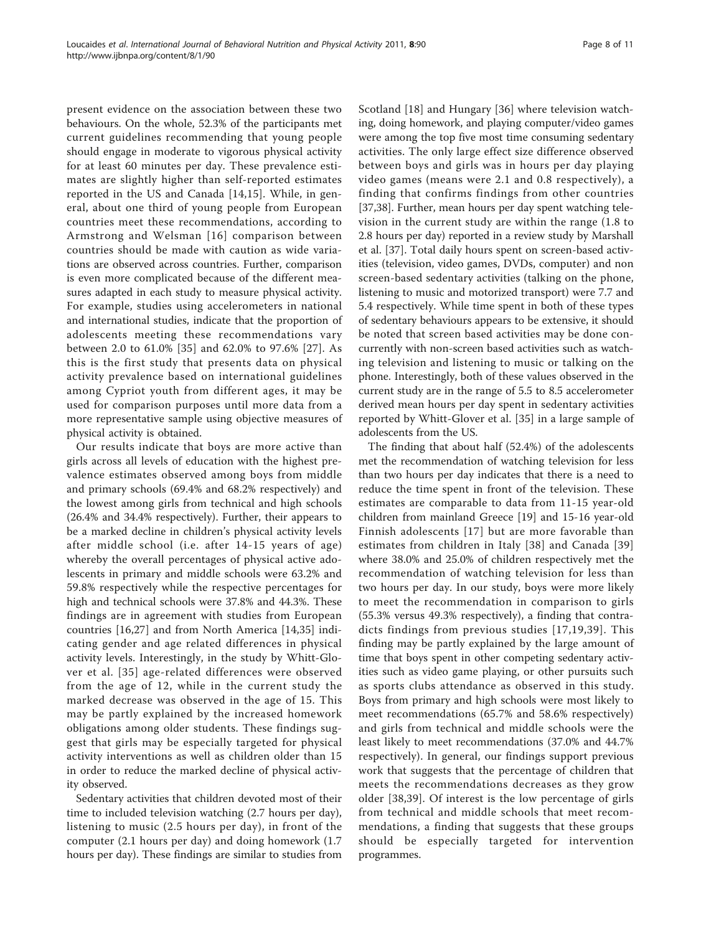present evidence on the association between these two behaviours. On the whole, 52.3% of the participants met current guidelines recommending that young people should engage in moderate to vigorous physical activity for at least 60 minutes per day. These prevalence estimates are slightly higher than self-reported estimates reported in the US and Canada [[14,15](#page-9-0)]. While, in general, about one third of young people from European countries meet these recommendations, according to Armstrong and Welsman [[16](#page-9-0)] comparison between countries should be made with caution as wide variations are observed across countries. Further, comparison is even more complicated because of the different measures adapted in each study to measure physical activity. For example, studies using accelerometers in national and international studies, indicate that the proportion of adolescents meeting these recommendations vary between 2.0 to 61.0% [[35\]](#page-10-0) and 62.0% to 97.6% [[27\]](#page-9-0). As this is the first study that presents data on physical activity prevalence based on international guidelines among Cypriot youth from different ages, it may be used for comparison purposes until more data from a more representative sample using objective measures of physical activity is obtained.

Our results indicate that boys are more active than girls across all levels of education with the highest prevalence estimates observed among boys from middle and primary schools (69.4% and 68.2% respectively) and the lowest among girls from technical and high schools (26.4% and 34.4% respectively). Further, their appears to be a marked decline in children's physical activity levels after middle school (i.e. after 14-15 years of age) whereby the overall percentages of physical active adolescents in primary and middle schools were 63.2% and 59.8% respectively while the respective percentages for high and technical schools were 37.8% and 44.3%. These findings are in agreement with studies from European countries [[16,27\]](#page-9-0) and from North America [\[14](#page-9-0)[,35](#page-10-0)] indicating gender and age related differences in physical activity levels. Interestingly, in the study by Whitt-Glover et al. [[35\]](#page-10-0) age-related differences were observed from the age of 12, while in the current study the marked decrease was observed in the age of 15. This may be partly explained by the increased homework obligations among older students. These findings suggest that girls may be especially targeted for physical activity interventions as well as children older than 15 in order to reduce the marked decline of physical activity observed.

Sedentary activities that children devoted most of their time to included television watching (2.7 hours per day), listening to music (2.5 hours per day), in front of the computer (2.1 hours per day) and doing homework (1.7 hours per day). These findings are similar to studies from Scotland [[18\]](#page-9-0) and Hungary [[36\]](#page-10-0) where television watching, doing homework, and playing computer/video games were among the top five most time consuming sedentary activities. The only large effect size difference observed between boys and girls was in hours per day playing video games (means were 2.1 and 0.8 respectively), a finding that confirms findings from other countries [[37,38\]](#page-10-0). Further, mean hours per day spent watching television in the current study are within the range (1.8 to 2.8 hours per day) reported in a review study by Marshall et al. [\[37](#page-10-0)]. Total daily hours spent on screen-based activities (television, video games, DVDs, computer) and non screen-based sedentary activities (talking on the phone, listening to music and motorized transport) were 7.7 and 5.4 respectively. While time spent in both of these types of sedentary behaviours appears to be extensive, it should be noted that screen based activities may be done concurrently with non-screen based activities such as watching television and listening to music or talking on the phone. Interestingly, both of these values observed in the current study are in the range of 5.5 to 8.5 accelerometer derived mean hours per day spent in sedentary activities reported by Whitt-Glover et al. [[35\]](#page-10-0) in a large sample of adolescents from the US.

The finding that about half (52.4%) of the adolescents met the recommendation of watching television for less than two hours per day indicates that there is a need to reduce the time spent in front of the television. These estimates are comparable to data from 11-15 year-old children from mainland Greece [[19\]](#page-9-0) and 15-16 year-old Finnish adolescents [\[17\]](#page-9-0) but are more favorable than estimates from children in Italy [[38\]](#page-10-0) and Canada [[39](#page-10-0)] where 38.0% and 25.0% of children respectively met the recommendation of watching television for less than two hours per day. In our study, boys were more likely to meet the recommendation in comparison to girls (55.3% versus 49.3% respectively), a finding that contradicts findings from previous studies [[17](#page-9-0),[19](#page-9-0),[39\]](#page-10-0). This finding may be partly explained by the large amount of time that boys spent in other competing sedentary activities such as video game playing, or other pursuits such as sports clubs attendance as observed in this study. Boys from primary and high schools were most likely to meet recommendations (65.7% and 58.6% respectively) and girls from technical and middle schools were the least likely to meet recommendations (37.0% and 44.7% respectively). In general, our findings support previous work that suggests that the percentage of children that meets the recommendations decreases as they grow older [\[38](#page-10-0),[39\]](#page-10-0). Of interest is the low percentage of girls from technical and middle schools that meet recommendations, a finding that suggests that these groups should be especially targeted for intervention programmes.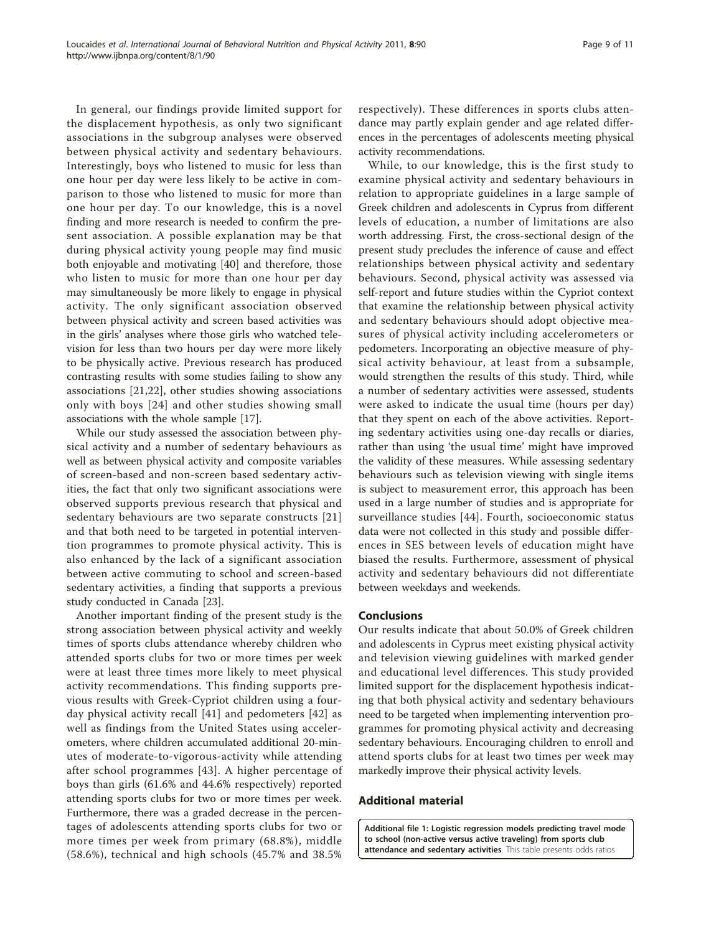<span id="page-8-0"></span>In general, our findings provide limited support for the displacement hypothesis, as only two significant associations in the subgroup analyses were observed between physical activity and sedentary behaviours. Interestingly, boys who listened to music for less than one hour per day were less likely to be active in comparison to those who listened to music for more than one hour per day. To our knowledge, this is a novel finding and more research is needed to confirm the present association. A possible explanation may be that during physical activity young people may find music both enjoyable and motivating [\[40](#page-10-0)] and therefore, those who listen to music for more than one hour per day may simultaneously be more likely to engage in physical activity. The only significant association observed between physical activity and screen based activities was in the girls' analyses where those girls who watched television for less than two hours per day were more likely to be physically active. Previous research has produced contrasting results with some studies failing to show any associations [\[21](#page-9-0),[22\]](#page-9-0), other studies showing associations only with boys [[24\]](#page-9-0) and other studies showing small associations with the whole sample [\[17](#page-9-0)].

While our study assessed the association between physical activity and a number of sedentary behaviours as well as between physical activity and composite variables of screen-based and non-screen based sedentary activities, the fact that only two significant associations were observed supports previous research that physical and sedentary behaviours are two separate constructs [[21](#page-9-0)] and that both need to be targeted in potential intervention programmes to promote physical activity. This is also enhanced by the lack of a significant association between active commuting to school and screen-based sedentary activities, a finding that supports a previous study conducted in Canada [\[23](#page-9-0)].

Another important finding of the present study is the strong association between physical activity and weekly times of sports clubs attendance whereby children who attended sports clubs for two or more times per week were at least three times more likely to meet physical activity recommendations. This finding supports previous results with Greek-Cypriot children using a fourday physical activity recall [[41\]](#page-10-0) and pedometers [\[42\]](#page-10-0) as well as findings from the United States using accelerometers, where children accumulated additional 20-minutes of moderate-to-vigorous-activity while attending after school programmes [\[43\]](#page-10-0). A higher percentage of boys than girls (61.6% and 44.6% respectively) reported attending sports clubs for two or more times per week. Furthermore, there was a graded decrease in the percentages of adolescents attending sports clubs for two or more times per week from primary (68.8%), middle (58.6%), technical and high schools (45.7% and 38.5% respectively). These differences in sports clubs attendance may partly explain gender and age related differences in the percentages of adolescents meeting physical activity recommendations.

While, to our knowledge, this is the first study to examine physical activity and sedentary behaviours in relation to appropriate guidelines in a large sample of Greek children and adolescents in Cyprus from different levels of education, a number of limitations are also worth addressing. First, the cross-sectional design of the present study precludes the inference of cause and effect relationships between physical activity and sedentary behaviours. Second, physical activity was assessed via self-report and future studies within the Cypriot context that examine the relationship between physical activity and sedentary behaviours should adopt objective measures of physical activity including accelerometers or pedometers. Incorporating an objective measure of physical activity behaviour, at least from a subsample, would strengthen the results of this study. Third, while a number of sedentary activities were assessed, students were asked to indicate the usual time (hours per day) that they spent on each of the above activities. Reporting sedentary activities using one-day recalls or diaries, rather than using 'the usual time' might have improved the validity of these measures. While assessing sedentary behaviours such as television viewing with single items is subject to measurement error, this approach has been used in a large number of studies and is appropriate for surveillance studies [\[44](#page-10-0)]. Fourth, socioeconomic status data were not collected in this study and possible differences in SES between levels of education might have biased the results. Furthermore, assessment of physical activity and sedentary behaviours did not differentiate between weekdays and weekends.

### Conclusions

Our results indicate that about 50.0% of Greek children and adolescents in Cyprus meet existing physical activity and television viewing guidelines with marked gender and educational level differences. This study provided limited support for the displacement hypothesis indicating that both physical activity and sedentary behaviours need to be targeted when implementing intervention programmes for promoting physical activity and decreasing sedentary behaviours. Encouraging children to enroll and attend sports clubs for at least two times per week may markedly improve their physical activity levels.

# Additional material

[Additional file 1: L](http://www.biomedcentral.com/content/supplementary/1479-5868-8-90-S1.DOC)ogistic regression models predicting travel mode to school (non-active versus active traveling) from sports club attendance and sedentary activities. This table presents odds ratios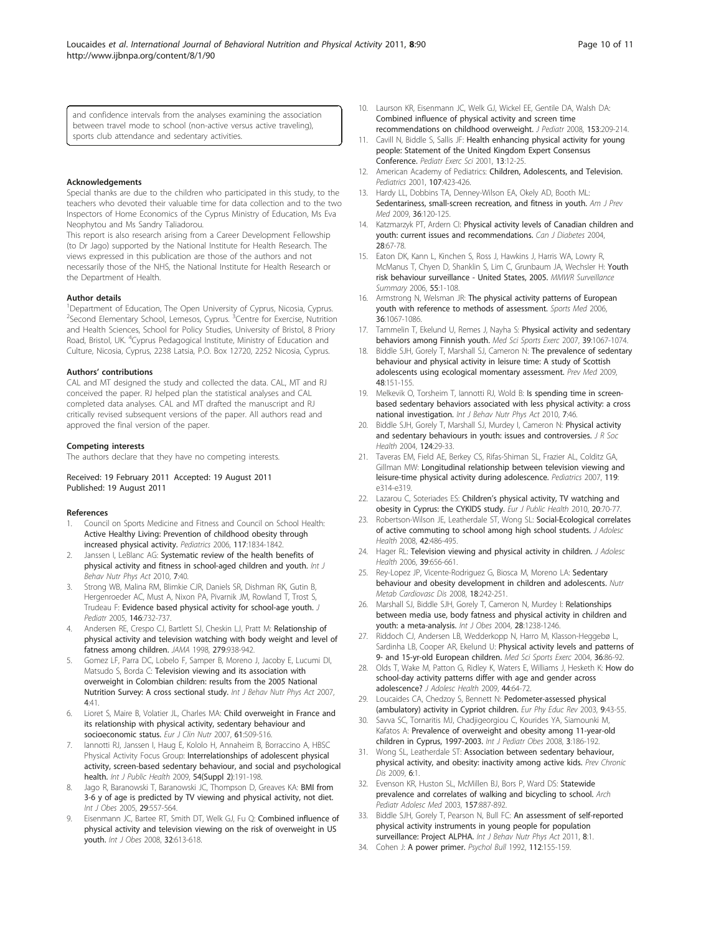#### <span id="page-9-0"></span>Acknowledgements

Special thanks are due to the children who participated in this study, to the teachers who devoted their valuable time for data collection and to the two Inspectors of Home Economics of the Cyprus Ministry of Education, Ms Eva Neophytou and Ms Sandry Taliadorou.

This report is also research arising from a Career Development Fellowship (to Dr Jago) supported by the National Institute for Health Research. The views expressed in this publication are those of the authors and not necessarily those of the NHS, the National Institute for Health Research or the Department of Health.

#### Author details

<sup>1</sup>Department of Education, The Open University of Cyprus, Nicosia, Cyprus. <sup>2</sup>Second Elementary School, Lemesos, Cyprus. <sup>3</sup>Centre for Exercise, Nutrition and Health Sciences, School for Policy Studies, University of Bristol, 8 Priory Road, Bristol, UK. <sup>4</sup>Cyprus Pedagogical Institute, Ministry of Education and Culture, Nicosia, Cyprus, 2238 Latsia, P.O. Box 12720, 2252 Nicosia, Cyprus.

#### Authors' contributions

CAL and MT designed the study and collected the data. CAL, MT and RJ conceived the paper. RJ helped plan the statistical analyses and CAL completed data analyses. CAL and MT drafted the manuscript and RJ critically revised subsequent versions of the paper. All authors read and approved the final version of the paper.

#### Competing interests

The authors declare that they have no competing interests.

Received: 19 February 2011 Accepted: 19 August 2011 Published: 19 August 2011

#### References

- 1. Council on Sports Medicine and Fitness and Council on School Health: [Active Healthy Living: Prevention of childhood obesity through](http://www.ncbi.nlm.nih.gov/pubmed/16651347?dopt=Abstract) [increased physical activity.](http://www.ncbi.nlm.nih.gov/pubmed/16651347?dopt=Abstract) Pediatrics 2006, 117:1834-1842.
- 2. Janssen I, LeBlanc AG: [Systematic review of the health benefits of](http://www.ncbi.nlm.nih.gov/pubmed/20459784?dopt=Abstract) [physical activity and fitness in school-aged children and youth.](http://www.ncbi.nlm.nih.gov/pubmed/20459784?dopt=Abstract) Int J Behav Nutr Phys Act 2010, 7:40.
- 3. Strong WB, Malina RM, Blimkie CJR, Daniels SR, Dishman RK, Gutin B, Hergenroeder AC, Must A, Nixon PA, Pivarnik JM, Rowland T, Trost S, Trudeau F: [Evidence based physical activity for school-age youth.](http://www.ncbi.nlm.nih.gov/pubmed/15973308?dopt=Abstract) J Pediatr 2005, 146:732-737.
- 4. Andersen RE, Crespo CJ, Bartlett SJ, Cheskin LJ, Pratt M: [Relationship of](http://www.ncbi.nlm.nih.gov/pubmed/9544768?dopt=Abstract) [physical activity and television watching with body weight and level of](http://www.ncbi.nlm.nih.gov/pubmed/9544768?dopt=Abstract) [fatness among children.](http://www.ncbi.nlm.nih.gov/pubmed/9544768?dopt=Abstract) JAMA 1998, 279:938-942.
- 5. Gomez LF, Parra DC, Lobelo F, Samper B, Moreno J, Jacoby E, Lucumi DI, Matsudo S, Borda C: [Television viewing and its association with](http://www.ncbi.nlm.nih.gov/pubmed/17880726?dopt=Abstract) [overweight in Colombian children: results from the 2005 National](http://www.ncbi.nlm.nih.gov/pubmed/17880726?dopt=Abstract) [Nutrition Survey: A cross sectional study.](http://www.ncbi.nlm.nih.gov/pubmed/17880726?dopt=Abstract) Int J Behav Nutr Phys Act 2007, 4:41.
- 6. Lioret S, Maire B, Volatier JL, Charles MA: [Child overweight in France and](http://www.ncbi.nlm.nih.gov/pubmed/16988644?dopt=Abstract) [its relationship with physical activity, sedentary behaviour and](http://www.ncbi.nlm.nih.gov/pubmed/16988644?dopt=Abstract) [socioeconomic status.](http://www.ncbi.nlm.nih.gov/pubmed/16988644?dopt=Abstract) Eur J Clin Nutr 2007, 61:509-516.
- 7. Iannotti RJ, Janssen I, Haug E, Kololo H, Annaheim B, Borraccino A, HBSC Physical Activity Focus Group: [Interrelationships of adolescent physical](http://www.ncbi.nlm.nih.gov/pubmed/19639256?dopt=Abstract) [activity, screen-based sedentary behaviour, and social and psychological](http://www.ncbi.nlm.nih.gov/pubmed/19639256?dopt=Abstract) [health.](http://www.ncbi.nlm.nih.gov/pubmed/19639256?dopt=Abstract) Int J Public Health 2009, 54(Suppl 2):191-198.
- 8. Jago R, Baranowski T, Baranowski JC, Thompson D, Greaves KA: BMI from 3-6 y of age is predicted by TV viewing and physical activity, not diet. Int J Obes 2005, 29:557-564.
- Eisenmann JC, Bartee RT, Smith DT, Welk GJ, Fu Q: Combined influence of physical activity and television viewing on the risk of overweight in US youth. Int J Obes 2008, 32:613-618.
- 10. Laurson KR, Eisenmann JC, Welk GJ, Wickel EE, Gentile DA, Walsh DA: [Combined influence of physical activity and screen time](http://www.ncbi.nlm.nih.gov/pubmed/18534231?dopt=Abstract) [recommendations on childhood overweight.](http://www.ncbi.nlm.nih.gov/pubmed/18534231?dopt=Abstract) J Pediatr 2008, 153:209-214.
- 11. Cavill N, Biddle S, Sallis JF: Health enhancing physical activity for young people: Statement of the United Kingdom Expert Consensus Conference. Pediatr Exerc Sci 2001, 13:12-25.
- 12. American Academy of Pediatrics: [Children, Adolescents, and Television.](http://www.ncbi.nlm.nih.gov/pubmed/11158483?dopt=Abstract) Pediatrics 2001, 107:423-426.
- 13. Hardy LL, Dobbins TA, Denney-Wilson EA, Okely AD, Booth ML: [Sedentariness, small-screen recreation, and fitness in youth.](http://www.ncbi.nlm.nih.gov/pubmed/19135904?dopt=Abstract) Am J Prev Med 2009, 36:120-125.
- 14. Katzmarzyk PT, Ardern CI: Physical activity levels of Canadian children and youth: current issues and recommendations. Can J Diabetes 2004, 28:67-78.
- 15. Eaton DK, Kann L, Kinchen S, Ross J, Hawkins J, Harris WA, Lowry R, McManus T, Chyen D, Shanklin S, Lim C, Grunbaum JA, Wechsler H: Youth risk behaviour surveillance - United States, 2005. MMWR Surveillance Summary 2006, 55:1-108.
- 16. Armstrong N, Welsman JR: [The physical activity patterns of European](http://www.ncbi.nlm.nih.gov/pubmed/17123328?dopt=Abstract) [youth with reference to methods of assessment.](http://www.ncbi.nlm.nih.gov/pubmed/17123328?dopt=Abstract) Sports Med 2006, 36:1067-1086.
- 17. Tammelin T, Ekelund U, Remes J, Nayha S: [Physical activity and sedentary](http://www.ncbi.nlm.nih.gov/pubmed/17596773?dopt=Abstract) [behaviors among Finnish youth.](http://www.ncbi.nlm.nih.gov/pubmed/17596773?dopt=Abstract) Med Sci Sports Exerc 2007, 39:1067-1074.
- 18. Biddle SJH, Gorely T, Marshall SJ, Cameron N: [The prevalence of sedentary](http://www.ncbi.nlm.nih.gov/pubmed/19046984?dopt=Abstract) [behaviour and physical activity in leisure time: A study of Scottish](http://www.ncbi.nlm.nih.gov/pubmed/19046984?dopt=Abstract) [adolescents using ecological momentary assessment.](http://www.ncbi.nlm.nih.gov/pubmed/19046984?dopt=Abstract) Prev Med 2009, 48:151-155.
- 19. Melkevik O, Torsheim T, Iannotti RJ, Wold B: [Is spending time in screen](http://www.ncbi.nlm.nih.gov/pubmed/20492643?dopt=Abstract)[based sedentary behaviors associated with less physical activity: a cross](http://www.ncbi.nlm.nih.gov/pubmed/20492643?dopt=Abstract) [national investigation.](http://www.ncbi.nlm.nih.gov/pubmed/20492643?dopt=Abstract) Int J Behav Nutr Phys Act 2010, 7:46.
- 20. Biddle SJH, Gorely T, Marshall SJ, Murdey I, Cameron N: Physical activity and sedentary behaviours in youth: issues and controversies. J R Soc Health 2004, 124:29-33.
- 21. Taveras EM, Field AE, Berkey CS, Rifas-Shiman SL, Frazier AL, Colditz GA, Gillman MW: [Longitudinal relationship between television viewing and](http://www.ncbi.nlm.nih.gov/pubmed/17272594?dopt=Abstract) [leisure-time physical activity during adolescence.](http://www.ncbi.nlm.nih.gov/pubmed/17272594?dopt=Abstract) Pediatrics 2007, 119: e314-e319.
- 22. Lazarou C, Soteriades ES: Children'[s physical activity, TV watching and](http://www.ncbi.nlm.nih.gov/pubmed/19556383?dopt=Abstract) [obesity in Cyprus: the CYKIDS study.](http://www.ncbi.nlm.nih.gov/pubmed/19556383?dopt=Abstract) Eur J Public Health 2010, 20:70-77.
- 23. Robertson-Wilson JE, Leatherdale ST, Wong SL: [Social-Ecological correlates](http://www.ncbi.nlm.nih.gov/pubmed/18407044?dopt=Abstract) [of active commuting to school among high school students.](http://www.ncbi.nlm.nih.gov/pubmed/18407044?dopt=Abstract) J Adolesc Health 2008, 42:486-495.
- 24. Hager RL: [Television viewing and physical activity in children.](http://www.ncbi.nlm.nih.gov/pubmed/17046501?dopt=Abstract) J Adolesc Health 2006, 39:656-661.
- 25. Rey-Lopez JP, Vicente-Rodriguez G, Biosca M, Moreno LA: [Sedentary](http://www.ncbi.nlm.nih.gov/pubmed/18083016?dopt=Abstract) [behaviour and obesity development in children and adolescents.](http://www.ncbi.nlm.nih.gov/pubmed/18083016?dopt=Abstract) Nutr Metab Cardiovasc Dis 2008, 18:242-251.
- 26. Marshall SJ, Biddle SJH, Gorely T, Cameron N, Murdey I: Relationships between media use, body fatness and physical activity in children and youth: a meta-analysis. Int J Obes 2004, 28:1238-1246.
- 27. Riddoch CJ, Andersen LB, Wedderkopp N, Harro M, Klasson-Heggebø L, Sardinha LB, Cooper AR, Ekelund U: [Physical activity levels and patterns of](http://www.ncbi.nlm.nih.gov/pubmed/14707773?dopt=Abstract) [9- and 15-yr-old European children.](http://www.ncbi.nlm.nih.gov/pubmed/14707773?dopt=Abstract) Med Sci Sports Exerc 2004, 36:86-92.
- 28. Olds T, Wake M, Patton G, Ridley K, Waters F, Williams J, Hesketh K; [How do](http://www.ncbi.nlm.nih.gov/pubmed/19101460?dopt=Abstract) [school-day activity patterns differ with age and gender across](http://www.ncbi.nlm.nih.gov/pubmed/19101460?dopt=Abstract) [adolescence?](http://www.ncbi.nlm.nih.gov/pubmed/19101460?dopt=Abstract) J Adolesc Health 2009, 44:64-72.
- 29. Loucaides CA, Chedzoy S, Bennett N: Pedometer-assessed physical (ambulatory) activity in Cypriot children. Eur Phy Educ Rev 2003, 9:43-55.
- 30. Savva SC, Tornaritis MJ, Chadjigeorgiou C, Kourides YA, Siamounki M, Kafatos A: [Prevalence of overweight and obesity among 11-year-old](http://www.ncbi.nlm.nih.gov/pubmed/18612872?dopt=Abstract) [children in Cyprus, 1997-2003.](http://www.ncbi.nlm.nih.gov/pubmed/18612872?dopt=Abstract) Int J Pediatr Obes 2008, 3:186-192.
- 31. Wong SL, Leatherdale ST: Association between sedentary behaviour, physical activity, and obesity: inactivity among active kids. Prev Chronic Dis 2009 6:1
- 32. Evenson KR, Huston SL, McMillen BJ, Bors P, Ward DS: [Statewide](http://www.ncbi.nlm.nih.gov/pubmed/12963594?dopt=Abstract) [prevalence and correlates of walking and bicycling to school.](http://www.ncbi.nlm.nih.gov/pubmed/12963594?dopt=Abstract) Arch Pediatr Adolesc Med 2003, 157:887-892.
- 33. Biddle SJH, Gorely T, Pearson N, Bull FC: [An assessment of self-reported](http://www.ncbi.nlm.nih.gov/pubmed/21194492?dopt=Abstract) [physical activity instruments in young people for population](http://www.ncbi.nlm.nih.gov/pubmed/21194492?dopt=Abstract) [surveillance: Project ALPHA.](http://www.ncbi.nlm.nih.gov/pubmed/21194492?dopt=Abstract) Int J Behav Nutr Phys Act 2011, 8:1.
- 34. Cohen J: [A power primer.](http://www.ncbi.nlm.nih.gov/pubmed/19565683?dopt=Abstract) Psychol Bull 1992, 112:155-159.